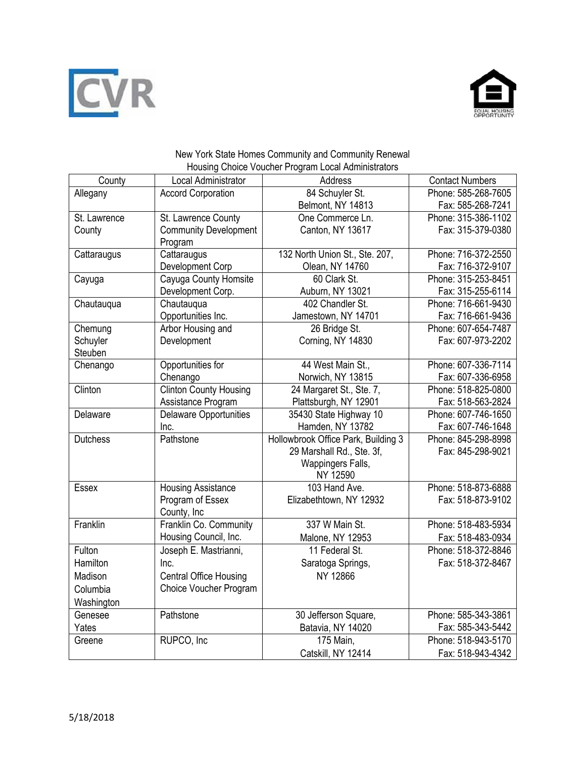



## New York State Homes Community and Community Renewal Housing Choice Voucher Program Local Administrators

| County          | Local Administrator           | Address                             | <b>Contact Numbers</b> |
|-----------------|-------------------------------|-------------------------------------|------------------------|
| Allegany        | <b>Accord Corporation</b>     | 84 Schuyler St.                     | Phone: 585-268-7605    |
|                 |                               | Belmont, NY 14813                   | Fax: 585-268-7241      |
| St. Lawrence    | St. Lawrence County           | One Commerce Ln.                    | Phone: 315-386-1102    |
| County          | <b>Community Development</b>  | Canton, NY 13617                    | Fax: 315-379-0380      |
|                 | Program                       |                                     |                        |
| Cattaraugus     | Cattaraugus                   | 132 North Union St., Ste. 207,      | Phone: 716-372-2550    |
|                 | Development Corp              | Olean, NY 14760                     | Fax: 716-372-9107      |
| Cayuga          | Cayuga County Homsite         | 60 Clark St.                        | Phone: 315-253-8451    |
|                 | Development Corp.             | Auburn, NY 13021                    | Fax: 315-255-6114      |
| Chautauqua      | Chautauqua                    | 402 Chandler St.                    | Phone: 716-661-9430    |
|                 | Opportunities Inc.            | Jamestown, NY 14701                 | Fax: 716-661-9436      |
| Chemung         | Arbor Housing and             | 26 Bridge St.                       | Phone: 607-654-7487    |
| Schuyler        | Development                   | Corning, NY 14830                   | Fax: 607-973-2202      |
| Steuben         |                               |                                     |                        |
| Chenango        | Opportunities for             | 44 West Main St.,                   | Phone: 607-336-7114    |
|                 | Chenango                      | Norwich, NY 13815                   | Fax: 607-336-6958      |
| Clinton         | <b>Clinton County Housing</b> | 24 Margaret St., Ste. 7,            | Phone: 518-825-0800    |
|                 | Assistance Program            | Plattsburgh, NY 12901               | Fax: 518-563-2824      |
| Delaware        | <b>Delaware Opportunities</b> | 35430 State Highway 10              | Phone: 607-746-1650    |
|                 | Inc.                          | Hamden, NY 13782                    | Fax: 607-746-1648      |
| <b>Dutchess</b> | Pathstone                     | Hollowbrook Office Park, Building 3 | Phone: 845-298-8998    |
|                 |                               | 29 Marshall Rd., Ste. 3f,           | Fax: 845-298-9021      |
|                 |                               | Wappingers Falls,                   |                        |
|                 |                               | NY 12590                            |                        |
| <b>Essex</b>    | <b>Housing Assistance</b>     | 103 Hand Ave.                       | Phone: 518-873-6888    |
|                 | Program of Essex              | Elizabethtown, NY 12932             | Fax: 518-873-9102      |
|                 | County, Inc                   |                                     |                        |
| Franklin        | Franklin Co. Community        | 337 W Main St.                      | Phone: 518-483-5934    |
|                 | Housing Council, Inc.         | Malone, NY 12953                    | Fax: 518-483-0934      |
| Fulton          | Joseph E. Mastrianni,         | 11 Federal St.                      | Phone: 518-372-8846    |
| Hamilton        | Inc.                          | Saratoga Springs,                   | Fax: 518-372-8467      |
| Madison         | <b>Central Office Housing</b> | NY 12866                            |                        |
| Columbia        | Choice Voucher Program        |                                     |                        |
| Washington      |                               |                                     |                        |
| Genesee         | Pathstone                     | 30 Jefferson Square,                | Phone: 585-343-3861    |
| Yates           |                               | Batavia, NY 14020                   | Fax: 585-343-5442      |
| Greene          | RUPCO, Inc                    | 175 Main,                           | Phone: 518-943-5170    |
|                 |                               | Catskill, NY 12414                  | Fax: 518-943-4342      |
|                 |                               |                                     |                        |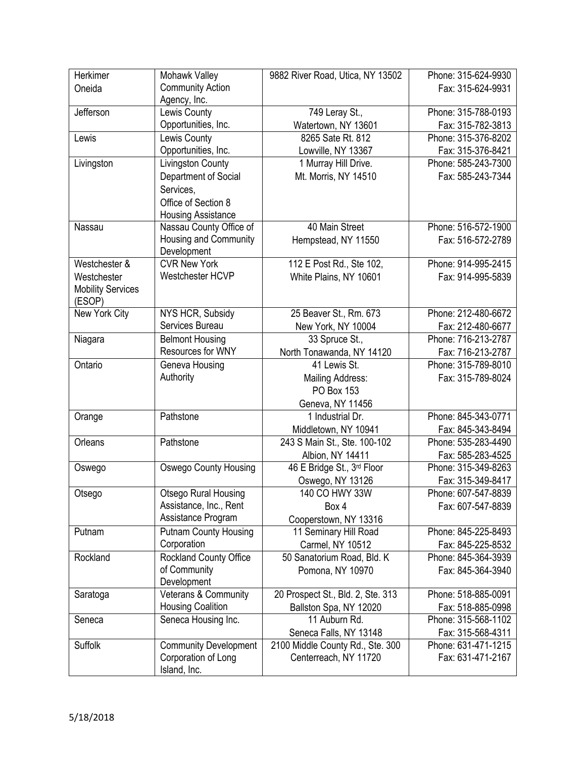| Herkimer                           | Mohawk Valley                | 9882 River Road, Utica, NY 13502  | Phone: 315-624-9930 |
|------------------------------------|------------------------------|-----------------------------------|---------------------|
| Oneida                             | <b>Community Action</b>      |                                   | Fax: 315-624-9931   |
|                                    | Agency, Inc.                 |                                   |                     |
| Jefferson                          | Lewis County                 | 749 Leray St.,                    | Phone: 315-788-0193 |
|                                    | Opportunities, Inc.          | Watertown, NY 13601               | Fax: 315-782-3813   |
| Lewis                              | Lewis County                 | 8265 Sate Rt. 812                 | Phone: 315-376-8202 |
|                                    | Opportunities, Inc.          | Lowville, NY 13367                | Fax: 315-376-8421   |
| Livingston                         | Livingston County            | 1 Murray Hill Drive.              | Phone: 585-243-7300 |
|                                    | Department of Social         | Mt. Morris, NY 14510              | Fax: 585-243-7344   |
|                                    | Services,                    |                                   |                     |
|                                    | Office of Section 8          |                                   |                     |
|                                    | <b>Housing Assistance</b>    |                                   |                     |
| Nassau                             | Nassau County Office of      | 40 Main Street                    | Phone: 516-572-1900 |
|                                    | Housing and Community        | Hempstead, NY 11550               | Fax: 516-572-2789   |
|                                    | Development                  |                                   |                     |
| Westchester &                      | <b>CVR New York</b>          | 112 E Post Rd., Ste 102,          | Phone: 914-995-2415 |
| Westchester                        | Westchester HCVP             | White Plains, NY 10601            | Fax: 914-995-5839   |
| <b>Mobility Services</b><br>(ESOP) |                              |                                   |                     |
| New York City                      | NYS HCR, Subsidy             | 25 Beaver St., Rm. 673            | Phone: 212-480-6672 |
|                                    | Services Bureau              | New York, NY 10004                | Fax: 212-480-6677   |
| Niagara                            | <b>Belmont Housing</b>       | 33 Spruce St.,                    | Phone: 716-213-2787 |
|                                    | Resources for WNY            | North Tonawanda, NY 14120         | Fax: 716-213-2787   |
| Ontario                            | Geneva Housing               | 41 Lewis St.                      | Phone: 315-789-8010 |
|                                    | Authority                    | Mailing Address:                  | Fax: 315-789-8024   |
|                                    |                              | PO Box 153                        |                     |
|                                    |                              | Geneva, NY 11456                  |                     |
| Orange                             | Pathstone                    | 1 Industrial Dr.                  | Phone: 845-343-0771 |
|                                    |                              | Middletown, NY 10941              | Fax: 845-343-8494   |
| Orleans                            | Pathstone                    | 243 S Main St., Ste. 100-102      | Phone: 535-283-4490 |
|                                    |                              | Albion, NY 14411                  | Fax: 585-283-4525   |
| Oswego                             | <b>Oswego County Housing</b> | 46 E Bridge St., 3rd Floor        | Phone: 315-349-8263 |
|                                    |                              | Oswego, NY 13126                  | Fax: 315-349-8417   |
| Otsego                             | <b>Otsego Rural Housing</b>  | 140 CO HWY 33W                    | Phone: 607-547-8839 |
|                                    | Assistance, Inc., Rent       | Box 4                             | Fax: 607-547-8839   |
|                                    | Assistance Program           | Cooperstown, NY 13316             |                     |
| Putnam                             | <b>Putnam County Housing</b> | 11 Seminary Hill Road             | Phone: 845-225-8493 |
|                                    | Corporation                  | Carmel, NY 10512                  | Fax: 845-225-8532   |
| Rockland                           | Rockland County Office       | 50 Sanatorium Road, Bld. K        | Phone: 845-364-3939 |
|                                    | of Community                 | Pomona, NY 10970                  | Fax: 845-364-3940   |
|                                    | Development                  |                                   |                     |
| Saratoga                           | Veterans & Community         | 20 Prospect St., Bld. 2, Ste. 313 | Phone: 518-885-0091 |
|                                    | <b>Housing Coalition</b>     | Ballston Spa, NY 12020            | Fax: 518-885-0998   |
| Seneca                             | Seneca Housing Inc.          | 11 Auburn Rd.                     | Phone: 315-568-1102 |
|                                    |                              | Seneca Falls, NY 13148            | Fax: 315-568-4311   |
| Suffolk                            | <b>Community Development</b> | 2100 Middle County Rd., Ste. 300  | Phone: 631-471-1215 |
|                                    | Corporation of Long          | Centerreach, NY 11720             | Fax: 631-471-2167   |
|                                    | Island, Inc.                 |                                   |                     |